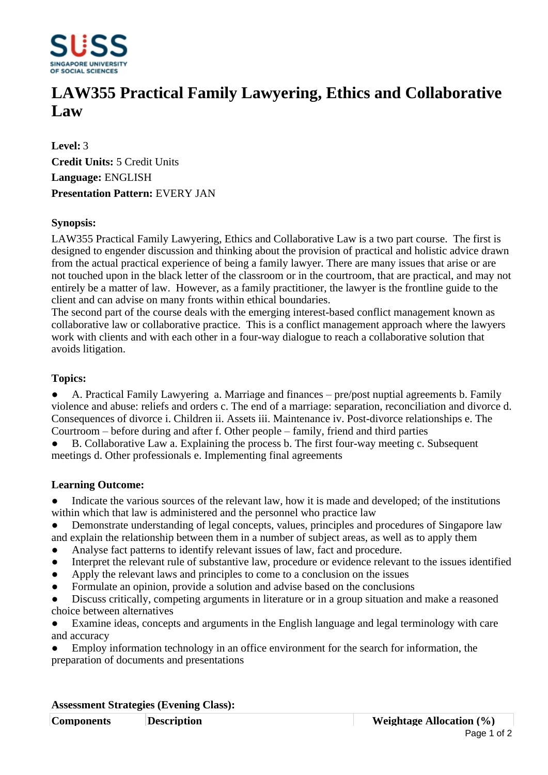

# **LAW355 Practical Family Lawyering, Ethics and Collaborative Law**

**Level:** 3 **Credit Units:** 5 Credit Units **Language:** ENGLISH **Presentation Pattern:** EVERY JAN

## **Synopsis:**

LAW355 Practical Family Lawyering, Ethics and Collaborative Law is a two part course. The first is designed to engender discussion and thinking about the provision of practical and holistic advice drawn from the actual practical experience of being a family lawyer. There are many issues that arise or are not touched upon in the black letter of the classroom or in the courtroom, that are practical, and may not entirely be a matter of law. However, as a family practitioner, the lawyer is the frontline guide to the client and can advise on many fronts within ethical boundaries.

The second part of the course deals with the emerging interest-based conflict management known as collaborative law or collaborative practice. This is a conflict management approach where the lawyers work with clients and with each other in a four-way dialogue to reach a collaborative solution that avoids litigation.

### **Topics:**

• A. Practical Family Lawyering a. Marriage and finances – pre/post nuptial agreements b. Family violence and abuse: reliefs and orders c. The end of a marriage: separation, reconciliation and divorce d. Consequences of divorce i. Children ii. Assets iii. Maintenance iv. Post-divorce relationships e. The Courtroom  $-$  before during and after f. Other people  $-$  family, friend and third parties

B. Collaborative Law a. Explaining the process b. The first four-way meeting c. Subsequent meetings d. Other professionals e. Implementing final agreements

### **Learning Outcome:**

• Indicate the various sources of the relevant law, how it is made and developed; of the institutions within which that law is administered and the personnel who practice law

- Demonstrate understanding of legal concepts, values, principles and procedures of Singapore law and explain the relationship between them in a number of subject areas, as well as to apply them
- Analyse fact patterns to identify relevant issues of law, fact and procedure.
- Interpret the relevant rule of substantive law, procedure or evidence relevant to the issues identified
- Apply the relevant laws and principles to come to a conclusion on the issues
- ƔFormulate an opinion, provide a solution and advise based on the conclusions
- Discuss critically, competing arguments in literature or in a group situation and make a reasoned choice between alternatives

Examine ideas, concepts and arguments in the English language and legal terminology with care and accuracy

Employ information technology in an office environment for the search for information, the preparation of documents and presentations

#### **Assessment Strategies (Evening Class):**